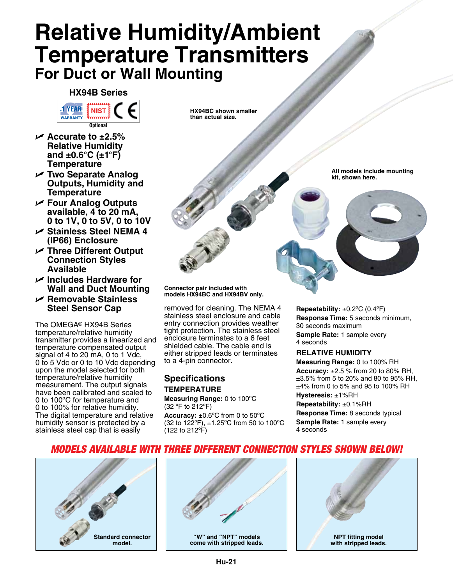# **Relative Humidity/Ambient Temperature Transmitters For Duct or Wall Mounting**

**HX94B Series**



- U **Accurate to ±2.5% Relative Humidity and ±0.6°C (±1°F) Temperature**
- U **Two Separate Analog Outputs, Humidity and Temperature**
- U **Four Analog Outputs available, 4 to 20 mA, 0 to 1V, 0 to 5V, 0 to 10V**
- U **Stainless Steel NEMA 4 (IP66) Enclosure**
- U **Three Different Output Connection Styles Available**
- U **Includes Hardware for Wall and Duct Mounting**
- U **Removable Stainless Steel Sensor Cap**

The OMEGA® HX94B Series temperature/relative humidity transmitter provides a linearized and temperature compensated output signal of 4 to 20 mA, 0 to 1 Vdc, 0 to 5 Vdc or 0 to 10 Vdc depending upon the model selected for both temperature/relative humidity measurement. The output signals have been calibrated and scaled to 0 to 100ºC for temperature and 0 to 100% for relative humidity. The digital temperature and relative humidity sensor is protected by a stainless steel cap that is easily

**HX94BC shown smaller than actual size.**



**Connector pair included with models HX94BC and HX94BV only.**

removed for cleaning. The NEMA 4 stainless steel enclosure and cable entry connection provides weather tight protection. The stainless steel enclosure terminates to a 6 feet shielded cable. The cable end is either stripped leads or terminates to a 4-pin connector.

# **Specifications Temperature**

**Measuring Range:** 0 to 100ºC (32 ºF to 212ºF)

**Accuracy:** ±0.6ºC from 0 to 50ºC (32 to 122ºF), ±1.25ºC from 50 to 100ºC (122 to 212ºF)

**Repeatability:** ±0.2ºC (0.4ºF) **Response Time:** 5 seconds minimum, 30 seconds maximum **Sample Rate:** 1 sample every 4 seconds

### **Relative Humidity**

**Measuring Range:** 0 to 100% RH **Accuracy:** ±2.5 % from 20 to 80% RH, ±3.5% from 5 to 20% and 80 to 95% RH, ±4% from 0 to 5% and 95 to 100% RH **Hysteresis:** ±1%RH **Repeatability:** ±0.1%RH **Response Time:** 8 seconds typical **Sample Rate:** 1 sample every 4 seconds

## *models available with three different connection styles shown below!*





**"W" and "NPT" models come with stripped leads.**